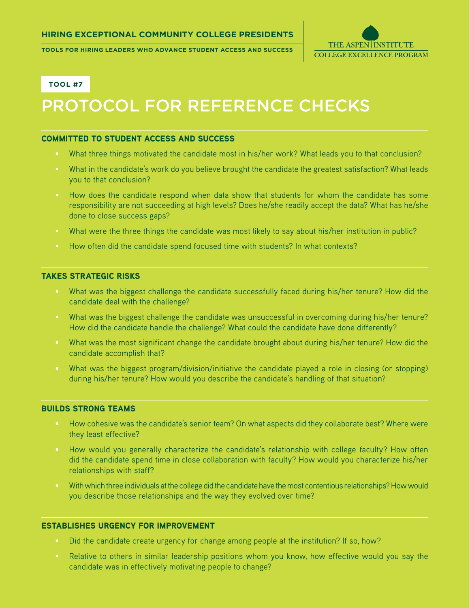**Tools for Hiring Leaders who advance Student Access and Success**



**Tool #7**

# Protocol for Reference Checks

## Committed to Student Access and Success

- What three things motivated the candidate most in his/her work? What leads you to that conclusion?
- What in the candidate's work do you believe brought the candidate the greatest satisfaction? What leads you to that conclusion?
- How does the candidate respond when data show that students for whom the candidate has some responsibility are not succeeding at high levels? Does he/she readily accept the data? What has he/she done to close success gaps?
- What were the three things the candidate was most likely to say about his/her institution in public?
- How often did the candidate spend focused time with students? In what contexts?

# Takes Strategic Risks

- What was the biggest challenge the candidate successfully faced during his/her tenure? How did the candidate deal with the challenge?
- What was the biggest challenge the candidate was unsuccessful in overcoming during his/her tenure? How did the candidate handle the challenge? What could the candidate have done differently?
- What was the most significant change the candidate brought about during his/her tenure? How did the candidate accomplish that?
- What was the biggest program/division/initiative the candidate played a role in closing (or stopping) during his/her tenure? How would you describe the candidate's handling of that situation?

#### Builds Strong Teams

- How cohesive was the candidate's senior team? On what aspects did they collaborate best? Where were they least effective?
- How would you generally characterize the candidate's relationship with college faculty? How often did the candidate spend time in close collaboration with faculty? How would you characterize his/her relationships with staff?
- With which three individuals at the college did the candidate have the most contentious relationships? How would you describe those relationships and the way they evolved over time?

# Establishes Urgency for Improvement

- Did the candidate create urgency for change among people at the institution? If so, how?
- Relative to others in similar leadership positions whom you know, how effective would you say the candidate was in effectively motivating people to change?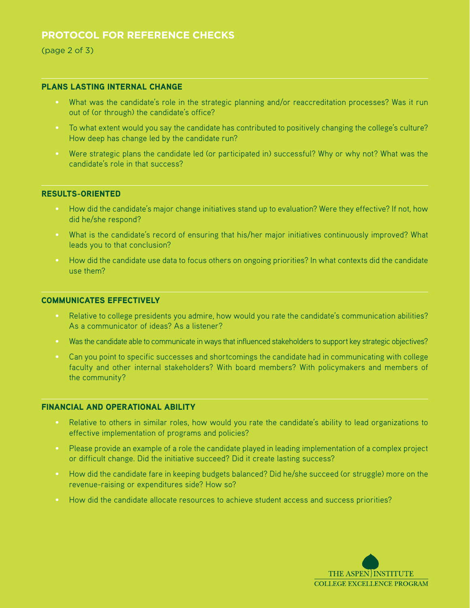# **Protocol for Reference Checks**

(page 2 of 3)

# Plans Lasting Internal Change

- What was the candidate's role in the strategic planning and/or reaccreditation processes? Was it run out of (or through) the candidate's office?
- To what extent would you say the candidate has contributed to positively changing the college's culture? How deep has change led by the candidate run?
- Were strategic plans the candidate led (or participated in) successful? Why or why not? What was the candidate's role in that success?

#### Results-Oriented

- How did the candidate's major change initiatives stand up to evaluation? Were they effective? If not, how did he/she respond?
- What is the candidate's record of ensuring that his/her major initiatives continuously improved? What leads you to that conclusion?
- How did the candidate use data to focus others on ongoing priorities? In what contexts did the candidate use them?

#### Communicates Effectively

- Relative to college presidents you admire, how would you rate the candidate's communication abilities? As a communicator of ideas? As a listener?
- Was the candidate able to communicate in ways that influenced stakeholders to support key strategic objectives?
- Can you point to specific successes and shortcomings the candidate had in communicating with college faculty and other internal stakeholders? With board members? With policymakers and members of the community?

# Financial and Operational Ability

- Relative to others in similar roles, how would you rate the candidate's ability to lead organizations to effective implementation of programs and policies?
- Please provide an example of a role the candidate played in leading implementation of a complex project or difficult change. Did the initiative succeed? Did it create lasting success?
- How did the candidate fare in keeping budgets balanced? Did he/she succeed (or struggle) more on the revenue-raising or expenditures side? How so?
- How did the candidate allocate resources to achieve student access and success priorities?